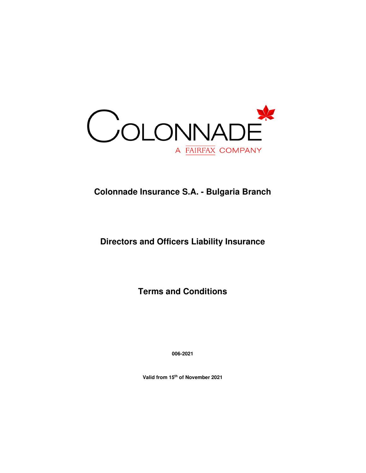

# **Colonnade Insurance S.A. - Bulgaria Branch**

# **Directors and Officers Liability Insurance**

**Terms and Conditions** 

**006-2021** 

**Valid from 15th of November 2021**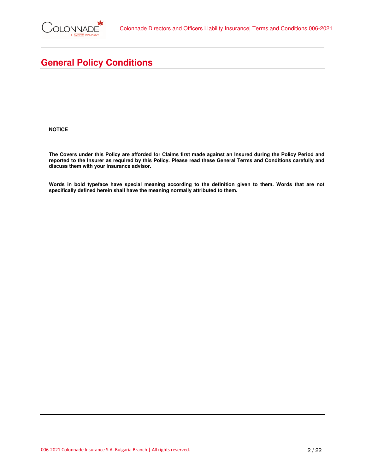

# **General Policy Conditions**

**NOTICE** 

**The Covers under this Policy are afforded for Claims first made against an Insured during the Policy Period and reported to the Insurer as required by this Policy. Please read these General Terms and Conditions carefully and discuss them with your insurance advisor.** 

**Words in bold typeface have special meaning according to the definition given to them. Words that are not specifically defined herein shall have the meaning normally attributed to them.**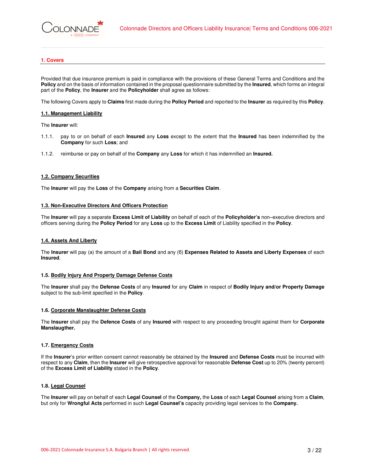# **1. Covers**

Provided that due insurance premium is paid in compliance with the provisions of these General Terms and Conditions and the **Policy** and on the basis of information contained in the proposal questionnaire submitted by the **Insured**, which forms an integral part of the **Policy**, the **Insurer** and the **Policyholder** shall agree as follows:

The following Covers apply to **Claims** first made during the **Policy Period** and reported to the **Insurer** as required by this **Policy**.

# **1.1. Management Liability**

The **Insurer** will:

- 1.1.1. pay to or on behalf of each **Insured** any **Loss** except to the extent that the **Insured** has been indemnified by the **Company** for such **Loss**; and
- 1.1.2. reimburse or pay on behalf of the **Company** any **Loss** for which it has indemnified an **Insured.**

# **1.2. Company Securities**

The **Insurer** will pay the **Loss** of the **Company** arising from a **Securities Claim**.

# **1.3. Non-Executive Directors And Officers Protection**

The **Insurer** will pay a separate **Excess Limit of Liability** on behalf of each of the **Policyholder's** non–executive directors and officers serving during the **Policy Period** for any **Loss** up to the **Excess Limit** of Liability specified in the **Policy**.

# **1.4. Assets And Liberty**

The **Insurer** will pay (а) the amount of a **Bail Bond** and any (б) **Expenses Related to Assets and Liberty Expenses** of each **Insured**.

# **1.5. Bodily Injury And Property Damage Defense Costs**

The **Insurer** shall pay the **Defense Costs** of any **Insured** for any **Claim** in respect of **Bodily Injury and/or Property Damage** subject to the sub-limit specified in the **Policy**.

# **1.6. Corporate Manslaughter Defense Costs**

The **Insurer** shall pay the **Defence Costs** of any **Insured** with respect to any proceeding brought against them for **Corporate Manslaugther.** 

# **1.7. Emergency Costs**

If the **Insurer**'s prior written consent cannot reasonably be obtained by the **Insured** and **Defense Costs** must be incurred with respect to any **Claim**, then the **Insurer** will give retrospective approval for reasonable **Defense Cost** up to 20% (twenty percent) of the **Excess Limit of Liability** stated in the **Policy**.

# **1.8. Legal Counsel**

The **Insurer** will pay on behalf of each **Legal Counsel** of the **Company,** the **Loss** of each **Legal Counsel** arising from a **Claim**, but only for **Wrongful Acts** performed in such **Legal Counsel's** capacity providing legal services to the **Company.**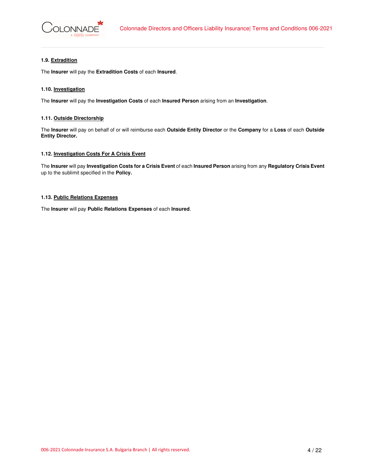

# **1.9. Extradition**

The **Insurer** will pay the **Extradition Costs** of each **Insured**.

# **1.10. Investigation**

The **Insurer** will pay the **Investigation Costs** of each **Insured Person** arising from an **Investigation**.

# **1.11. Outside Directorship**

The **Insurer** will pay on behalf of or will reimburse each **Outside Entity Director** or the **Company** for a **Loss** of each **Outside Entity Director.** 

# **1.12. Investigation Costs For A Crisis Event**

The **Insurer** will pay **Investigation Costs for a Crisis Event** of each **Insured Person** arising from any **Regulatory Crisis Event**  up to the sublimit specified in the **Policy.** 

# **1.13. Public Relations Expenses**

The **Insurer** will pay **Public Relations Expenses** of each **Insured**.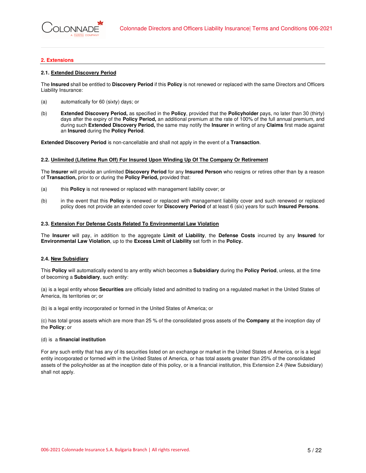# **2. Extensions**

# **2.1. Extended Discovery Period**

The **Insured** shall be entitled to **Discovery Period** if this **Policy** is not renewed or replaced with the same Directors and Officers Liability Insurance:

- (a) automatically for 60 (sixty) days; or
- (b) **Extended Discovery Period,** as specified in the **Policy**, provided that the **Policyholder** pays, no later than 30 (thirty) days after the expiry of the **Policy Period,** an additional premium at the rate of 100% of the full annual premium, and during such **Extended Discovery Period,** the same may notify the **Insurer** in writing of any **Claims** first made against an **Insured** during the **Policy Period**.

**Extended Discovery Period** is non-cancellable and shall not apply in the event of a **Transaction**.

#### **2.2. Unlimited (Lifetime Run Off) For Insured Upon Winding Up Of The Company Or Retirement**

The **Insurer** will provide an unlimited **Discovery Period** for any **Insured Person** who resigns or retires other than by a reason of **Transaction,** prior to or during the **Policy Period,** provided that:

- (a) this **Policy** is not renewed or replaced with management liability cover; or
- (b) in the event that this **Policy** is renewed or replaced with management liability cover and such renewed or replaced policy does not provide an extended cover for **Discovery Period** of at least 6 (six) years for such **Insured Persons**.

#### **2.3. Extension For Defense Costs Related To Environmental Law Violation**

The **Insurer** will pay, in addition to the aggregate **Limit of Liability**, the **Defense Costs** incurred by any **Insured** for **Environmental Law Violation**, up to the **Excess Limit of Liability** set forth in the **Policy.** 

# **2.4. New Subsidiary**

This **Policy** will automatically extend to any entity which becomes a **Subsidiary** during the **Policy Period**, unless, at the time of becoming a **Subsidiary**, such entity:

(a) is a legal entity whose **Securities** are officially listed and admitted to trading on a regulated market in the United States of America, its territories or; or

(b) is a legal entity incorporated or formed in the United States of America; or

(c) has total gross assets which are more than 25 % of the consolidated gross assets of the **Company** at the inception day of the **Policy**; or

# (d) is a **financial institution**

For any such entity that has any of its securities listed on an exchange or market in the United States of America, or is a legal entity incorporated or formed with in the United States of America, or has total assets greater than 25% of the consolidated assets of the policyholder as at the inception date of this policy, or is a financial institution, this Extension 2.4 (New Subsidiary) shall not apply.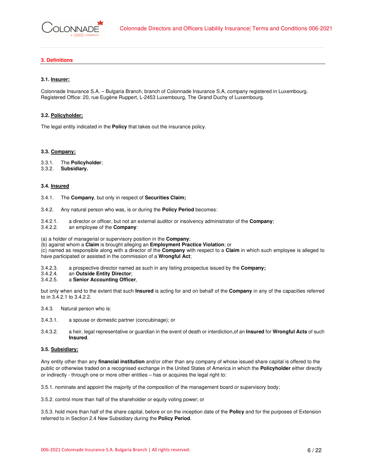# **3. Definitions**

# **3.1. Insurer:**

Colonnade Insurance S.A. – Bulgaria Branch, branch of Colonnade Insurance S.A, company registered in Luxembourg. Registered Office: 20, rue Eugène Ruppert, L-2453 Luxembourg, The Grand Duchy of Luxembourg.

#### **3.2. Policyholder:**

The legal entity indicated in the **Policy** that takes out the insurance policy.

#### **3.3. Company:**

- 3.3.1. The **Policyholder**;
- 3.3.2. **Subsidiary.**

# **3.4. Insured**

- 3.4.1. The **Company**, but only in respect of **Securities Claim;**
- 3.4.2. Any natural person who was, is or during the **Policy Period** becomes:
- 3.4.2.1. a director or officer, but not an external auditor or insolvency administrator of the **Company**;
- an employee of the **Company**:

(a) a holder of managerial or supervisory position in the **Company**;

(b) against whom a **Claim** is brought alleging an **Employment Practice Violation**; or

(c) named as responsible along with a director of the **Company** with respect to a **Claim** in which such employee is alleged to have participated or assisted in the commission of a **Wrongful Act**;

- 3.4.2.3. a prospective director named as such in any listing prospectus issued by the **Company;**
- 3.4.2.4. an **Outside Entity Director**;

# 3.4.2.5. a **Senior Accounting Officer**,

but only when and to the extent that such **Insured** is acting for and on behalf of the **Company** in any of the capacities referred to in 3.4.2.1 to 3.4.2.2.

- 3.4.3. Natural person who is:
- 3.4.3.1. a spouse or domestic partner (concubinage); or
- 3.4.3.2. a heir, legal representative or guardian in the event of death or interdiction,of an **Insured** for **Wrongful Acts** of such **Insured**.

# **3.5. Subsidiary:**

Any entity other than any **financial institution** and/or other than any company of whose issued share capital is offered to the public or otherwise traded on a recognised exchange in the United States of America in which the **Policyholder** either directly or indirectly - through one or more other entities – has or acquires the legal right to:

3.5.1. nominate and appoint the majority of the composition of the management board or supervisory body;

3.5.2. control more than half of the shareholder or equity voting power; or

3.5.3. hold more than half of the share capital, before or on the inception date of the **Policy** and for the purposes of Extension referred to in Section 2.4 New Subsidiary during the **Policy Period**.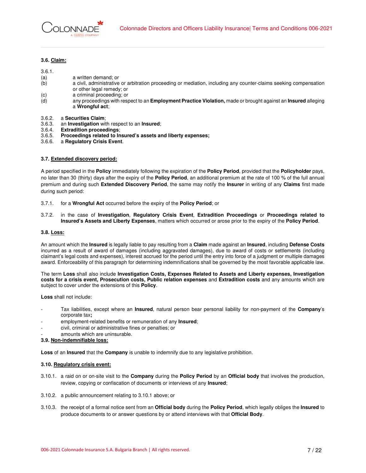# **3.6. Claim:**

# 3.6.1.

- (a) a written demand; or
- (b) a civil, administrative or arbitration proceeding or mediation, including any counter-claims seeking compensation or other legal remedy; or
- (c) a criminal proceeding; or
- (d) any proceedings with respect to an **Employment Practice Violation,** made or brought against an **Insured** alleging a **Wrongful act**;
- 3.6.2. a **Securities Claim**;
- 3.6.3. an **Investigation** with respect to an **Insured**;
- 3.6.4. **Extradition proceedings**;
- 3.6.5. **Proceedings related to Insured's assets and liberty expenses;**
- 3.6.6. a **Regulatory Crisis Event**.

# **3.7. Extended discovery period:**

A period specified in the **Policy** immediately following the expiration of the **Policy Period**, provided that the **Policyholder** pays, no later than 30 (thirty) days after the expiry of the **Policy Period**, an additional premium at the rate of 100 % of the full annual premium and during such **Extended Discovery Period**, the same may notify the **Insurer** in writing of any **Claims** first made during such period:

- 3.7.1. for a **Wrongful Act** occurred before the expiry of the **Policy Period**; or
- 3.7.2. in the case of **Investigation**, **Regulatory Crisis Event**, **Extradition Proceedings** or **Proceedings related to Insured's Assets and Liberty Expenses**, matters which occurred or arose prior to the expiry of the **Policy Period**.

#### **3.8. Loss:**

An amount which the **Insured** is legally liable to pay resulting from a **Claim** made against an **Insured**, including **Defense Costs** incurred as a result of award of damages (including aggravated damages), due to award of costs or settlements (including claimant's legal costs and expenses), interest accrued for the period until the entry into force of a judgment or multiple damages award. Enforceability of this paragraph for determining indemnifications shall be governed by the most favorable applicable law.

The term **Loss** shall also include **Investigation Costs, Expenses Related to Assets and Liberty expenses, Investigation costs for a crisis event, Prosecution costs, Public relation expenses** and **Extradition costs** and any amounts which are subject to cover under the extensions of this **Policy**.

**Loss** shall not include:

- Tax liabilities, except where an **Insured**, natural person bear personal liability for non-payment of the **Company**'s corporate tax**;**
- employment-related benefits or remuneration of any **Insured**;
- civil, criminal or administrative fines or penalties; or
- amounts which are uninsurable.

# **3.9. Non-indemnifiable loss:**

**Loss** of an **Insured** that the **Company** is unable to indemnify due to any legislative prohibition.

# **3.10. Regulatory crisis event:**

- 3.10.1. a raid on or on-site visit to the **Company** during the **Policy Period** by an **Official body** that involves the production, review, copying or confiscation of documents or interviews of any **Insured**;
- 3.10.2. a public announcement relating to 3.10.1 above; or
- 3.10.3. the receipt of a formal notice sent from an **Official body** during the **Policy Period**, which legally obliges the **Insured** to produce documents to or answer questions by or attend interviews with that **Official Body**.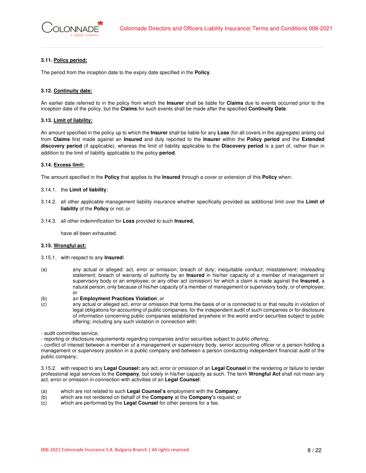

# **3.11. Policy period:**

The period from the inception date to the expiry date specified in the **Policy**.

# **3.12. Continuity date:**

An earlier date referred to in the policy from which the **Insurer** shall be liable for **Claims** due to events occurred prior to the inception date of the policy, but the **Claims** for such events shall be made after the specified **Continuity Date**.

# **3.13. Limit of liability:**

An amount specified in the policy up to which the **Insurer** shall be liable for any **Loss** (for all covers in the aggregate) arising out from **Claims** first made against an **Insured** and duly reported to the **Insurer** within the **Policy period** and the **Extended discovery period** (if applicable), whereas the limit of liability applicable to the **Discovery period** is a part of, rather than in addition to the limit of liability applicable to the policy **period**.

# **3.14. Excess limit:**

The amount specified in the **Policy** that applies to the **Insured** through a cover or extension of this **Policy** when:

#### 3.14.1. the **Limit of liability**;

- 3.14.2. all other applicable management liability insurance whether specifically provided as additional limit over the **Limit of liability** of the **Policy** or not; or
- 3.14.3. all other indemnification for **Loss** provided to such **Insured,**

have all been exhausted.

# **3.15. Wrongful act:**

- 3.15.1. with respect to any **Insured:**
- (a) any actual or alleged: act, error or omission; breach of duty; inequitable conduct; misstatement; misleading statement; breach of warranty of authority by an **Insured** in his/her capacity of a member of management or supervisory body or an employee; or any other act (omission) for which a claim is made against the **Insured**, a natural person, only because of his/her capacity of a member of management or supervisory body, or of employee; or
- (b) an **Employment Practices Violation**; or
- (c) any actual or alleged act, error or omission that forms the basis of or is connected to or that results in violation of legal obligations for accounting of public companies, for the independent audit of such companies or for disclosure of information concerning public companies established anywhere in the world and/or securities subject to public offering; including any such violation in connection with:

- audit committee service;

- reporting or disclosure requirements regarding companies and/or securities subject to public offering;

- conflict of interest between a member of a management or supervisory body, senior accounting officer or a person holding a management or supervisory position in a public company and between a person conducting independent financial audit of the public company;

3.15.2. with respect to any **Legal Counsel:** any act, error or omission of an **Legal Counsel** in the rendering or failure to render professional legal services to the **Company**, but solely in his/her capacity as such. The term **Wrongful Act** shall not mean any act, error or omission in connection with activities of an **Legal Counsel**:

- (a) which are not related to such **Legal Counsel's** employment with the **Company**;
- (b) which are not rendered on behalf of the **Company** at the **Company'**s request; or
- (c) which are performed by the **Legal Counsel** for other persons for a fee.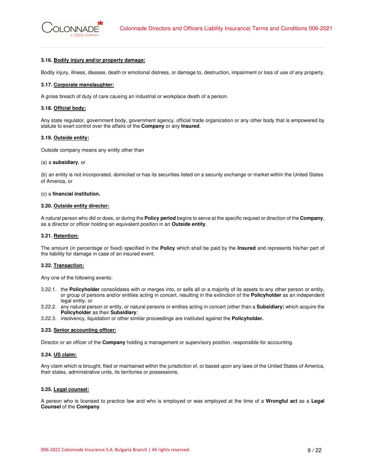#### **3.16. Bodily injury and/or property damage:**

Bodily injury, illness, disease, death or emotional distress, or damage to, destruction, impairment or loss of use of any property.

#### **3.17. Corporate manslaughter:**

A gross breach of duty of care causing an industrial or workplace death of a person.

# **3.18. Official body:**

Any state regulator, government body, government agency, official trade organization or any other body that is empowered by statute to exert control over the affairs of the **Company** or any **Insured**.

#### **3.19. Outside entity:**

Outside company means any entity other than

#### (a) a **subsidiary**, or

(b) an entity is not incorporated, domiciled or has its securities listed on a security exchange or market within the United States of America, or

#### (c) a **financial institution.**

#### **3.20. Outside entity director:**

A natural person who did or does, or during the **Policy period** begins to serve at the specific request or direction of the **Company**, as a director or officer holding an equivalent position in an **Outside entity**.

#### **3.21. Retention:**

The amount (in percentage or fixed) specified in the **Policy** which shall be paid by the **Insured** and represents his/her part of the liability for damage in case of an insured event.

#### **3.22. Transaction:**

Any one of the following events:

- 3.22.1. the **Policyholder** consolidates with or merges into, or sells all or a majority of its assets to any other person or entity, or group of persons and/or entities acting in concert, resulting in the extinction of the **Policyholder** as an independent legal entity; or
- 3.22.2. any natural person or entity, or natural persons or entities acting in concert (other than a **Subsidiary**) which acquire the **Policyholder** as their **Subsidiary**;
- 3.22.3. insolvency, liquidation or other similar proceedings are instituted against the **Policyholder.**

#### **3.23. Senior accounting officer:**

Director or an officer of the **Company** holding a management or supervisory position, responsible for accounting.

#### **3.24. US claim:**

Any claim which is brought, filed or maintained within the jurisdiction of, or based upon any laws of the United States of America, their states, administrative units, its territories or possessions.

# **3.25. Legal counsel:**

A person who is licensed to practice law and who is employed or was employed at the time of a **Wrongful act** as a **Legal Counsel** of the **Company**.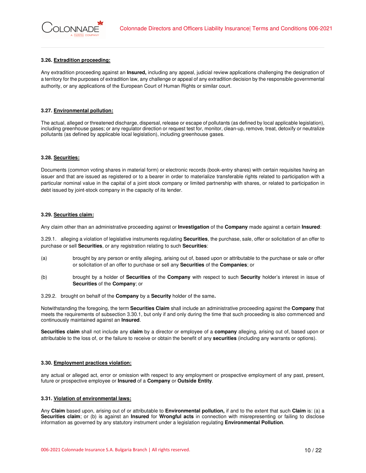# **3.26. Extradition proceeding:**

Any extradition proceeding against an **Insured,** including any appeal, judicial review applications challenging the designation of a territory for the purposes of extradition law, any challenge or appeal of any extradition decision by the responsible governmental authority, or any applications of the European Court of Human Rights or similar court.

# **3.27. Environmental pollution:**

The actual, alleged or threatened discharge, dispersal, release or escape of pollutants (as defined by local applicable legislation), including greenhouse gases; or any regulator direction or request test for, monitor, clean-up, remove, treat, detoxify or neutralize pollutants (as defined by applicable local legislation), including greenhouse gases.

# **3.28. Securities:**

Documents (common voting shares in material form) or electronic records (book-entry shares) with certain requisites having an issuer and that are issued as registered or to a bearer in order to materialize transferable rights related to participation with a particular nominal value in the capital of a joint stock company or limited partnership with shares, or related to participation in debt issued by joint-stock company in the capacity of its lender.

# **3.29. Securities claim:**

Any claim other than an administrative proceeding against or **Investigation** of the **Company** made against a certain **Insured**:

3.29.1. alleging a violation of legislative instruments regulating **Securities**, the purchase, sale, offer or solicitation of an offer to purchase or sell **Securities**, or any registration relating to such **Securities**:

- (a) brought by any person or entity alleging, arising out of, based upon or attributable to the purchase or sale or offer or solicitation of an offer to purchase or sell any **Securities** of the **Companies**; or
- (b) brought by a holder of **Securities** of the **Company** with respect to such **Security** holder's interest in issue of **Securities** of the **Company**; or
- 3.29.2. brought on behalf of the **Company** by a **Security** holder of the same**.**

Notwithstanding the foregoing, the term **Securities Claim** shall include an administrative proceeding against the **Company** that meets the requirements of subsection 3.30.1, but only if and only during the time that such proceeding is also commenced and continuously maintained against an **Insured**.

**Securities claim** shall not include any **claim** by a director or employee of a **company** alleging, arising out of, based upon or attributable to the loss of, or the failure to receive or obtain the benefit of any **securities** (including any warrants or options).

# **3.30. Employment practices violation:**

any actual or alleged act, error or omission with respect to any employment or prospective employment of any past, present, future or prospective employee or **Insured** of a **Company** or **Outside Entity**.

# **3.31. Violation of environmental laws:**

Any **Claim** based upon, arising out of or attributable to **Environmental pollution,** if and to the extent that such **Claim** is: (a) a **Securities claim**; or (b) is against an **Insured** for **Wrongful acts** in connection with misrepresenting or failing to disclose information as governed by any statutory instrument under a legislation regulating **Environmental Pollution**.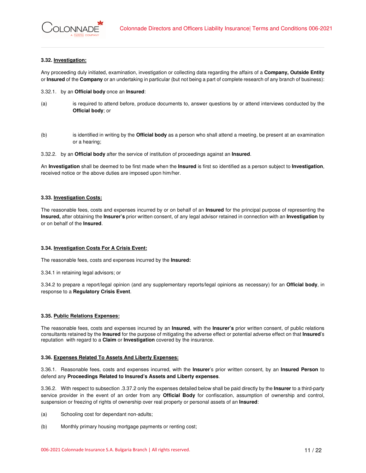# **3.32. Investigation:**

Any proceeding duly initiated, examination, investigation or collecting data regarding the affairs of a **Company, Outside Entity** or **Insured** of the **Company** or an undertaking in particular (but not being a part of complete research of any branch of business):

- 3.32.1. by an **Official body** once an **Insured**:
- (a) is required to attend before, produce documents to, answer questions by or attend interviews conducted by the **Official body**; or
- (b) is identified in writing by the **Official body** as a person who shall attend a meeting, be present at an examination or a hearing;
- 3.32.2. by an **Official body** after the service of institution of proceedings against an **Insured**.

An **Investigation** shall be deemed to be first made when the **Insured** is first so identified as a person subject to **Investigation**, received notice or the above duties are imposed upon him/her.

# **3.33. Investigation Costs:**

The reasonable fees, costs and expenses incurred by or on behalf of an **Insured** for the principal purpose of representing the **Insured,** after obtaining the **Insurer's** prior written consent, of any legal advisor retained in connection with an **Investigation** by or on behalf of the **Insured**.

# **3.34. Investigation Costs For A Crisis Event:**

The reasonable fees, costs and expenses incurred by the **Insured:** 

3.34.1 in retaining legal advisors; or

3.34.2 to prepare a report/legal opinion (and any supplementary reports/legal opinions as necessary) for an **Official body**, in response to a **Regulatory Crisis Event**.

# **3.35. Public Relations Expenses:**

The reasonable fees, costs and expenses incurred by an **Insured**, with the **Insurer's** prior written consent, of public relations consultants retained by the **Insured** for the purpose of mitigating the adverse effect or potential adverse effect on that **Insured**'s reputation with regard to a **Claim** or **Investigation** covered by the insurance.

# **3.36. Expenses Related To Assets And Liberty Expenses:**

3.36.1. Reasonable fees, costs and expenses incurred, with the **Insurer**'s prior written consent, by an **Insured Person** to defend any **Proceedings Related to Insured's Assets and Liberty expenses**.

3.36.2. With respect to subsection .3.37.2 only the expenses detailed below shall be paid directly by the **Insurer** to a third-party service provider in the event of an order from any **Official Body** for confiscation, assumption of ownership and control, suspension or freezing of rights of ownership over real property or personal assets of an **Insured**:

- (a) Schooling cost for dependant non-adults;
- (b) Monthly primary housing mortgage payments or renting cost;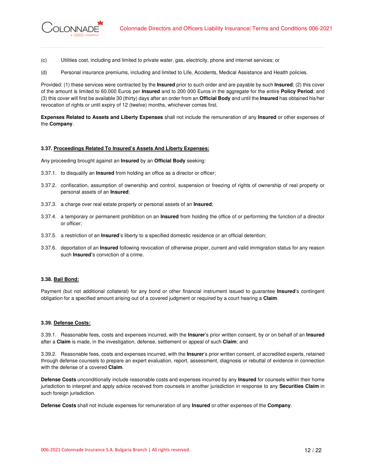- **ONNADE**
- (c) Utilities cost, including and limited to private water, gas, electricity, phone and internet services; or
- (d) Personal insurance premiums, including and limited to Life, Accidents, Medical Assistance and Health policies.

Provided: (1) these services were contracted by the **Insured** prior to such order and are payable by such **Insured**; (2) this cover of the amount is limited to 60.000 Euros per **Insured** and to 200 000 Euros in the aggregate for the entire **Policy Period**; and (3) this cover will first be available 30 (thirty) days after an order from an **Official Body** and until the **Insured** has obtained his/her revocation of rights or until expiry of 12 (twelve) months, whichever comes first.

**Expenses Related to Assets and Liberty Expenses** shall not include the remuneration of any **Insured** or other expenses of the **Company**.

# **3.37. Proceedings Related To Insured's Assets And Liberty Expenses:**

Any proceeding brought against an **Insured** by an **Official Body** seeking:

- 3.37.1. to disqualify an **Insured** from holding an office as a director or officer;
- 3.37.2. confiscation, assumption of ownership and control, suspension or freezing of rights of ownership of real property or personal assets of an **Insured**;
- 3.37.3. a charge over real estate property or personal assets of an **Insured**;
- 3.37.4. a temporary or permanent prohibition on an **Insured** from holding the office of or performing the function of a director or officer;
- 3.37.5. a restriction of an **Insured**'s liberty to a specified domestic residence or an official detention;
- 3.37.6. deportation of an **Insured** following revocation of otherwise proper, current and valid immigration status for any reason such **Insured'**s conviction of a crime.

# **3.38. Bail Bond:**

Payment (but not additional collateral) for any bond or other financial instrument issued to guarantee **Insured**'s contingent obligation for a specified amount arising out of a covered judgment or required by a court hearing a **Claim**.

# **3.39. Defense Costs:**

3.39.1. Reasonable fees, costs and expenses incurred, with the **Insurer**'s prior written consent, by or on behalf of an **Insured**  after a **Claim** is made, in the investigation, defense, settlement or appeal of such **Claim**; and

3.39.2. Reasonable fees, costs and expenses incurred, with the **Insurer**'s prior written consent, of accredited experts, retained through defense counsels to prepare an expert evaluation, report, assessment, diagnosis or rebuttal of evidence in connection with the defense of a covered **Claim**.

**Defense Costs** unconditionally include reasonable costs and expenses incurred by any **Insured** for counsels within their home jurisdiction to interpret and apply advice received from counsels in another jurisdiction in response to any **Securities Claim** in such foreign jurisdiction.

**Defense Costs** shall not include expenses for remuneration of any **Insured** or other expenses of the **Company**.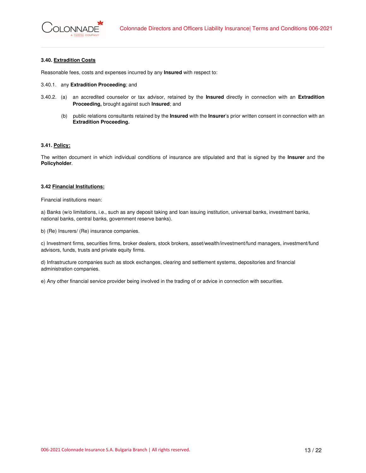# **3.40. Extradition Costs**

Reasonable fees, costs and expenses incurred by any **Insured** with respect to:

- 3.40.1. any **Extradition Proceeding**; and
- 3.40.2. (a) an accredited counselor or tax advisor, retained by the **Insured** directly in connection with an **Extradition Proceeding,** brought against such **Insured**; and
	- (b) public relations consultants retained by the **Insured** with the **Insurer**'s prior written consent in connection with an **Extradition Proceeding.**

# **3.41. Policy:**

The written document in which individual conditions of insurance are stipulated and that is signed by the **Insurer** and the **Policyholder**.

# **3.42 Financial Institutions:**

Financial institutions mean:

a) Banks (w/o limitations, i.e., such as any deposit taking and loan issuing institution, universal banks, investment banks, national banks, central banks, government reserve banks).

b) (Re) Insurers/ (Re) insurance companies.

c) Investment firms, securities firms, broker dealers, stock brokers, asset/wealth/investment/fund managers, investment/fund advisors, funds, trusts and private equity firms.

d) Infrastructure companies such as stock exchanges, clearing and settlement systems, depositories and financial administration companies.

e) Any other financial service provider being involved in the trading of or advice in connection with securities.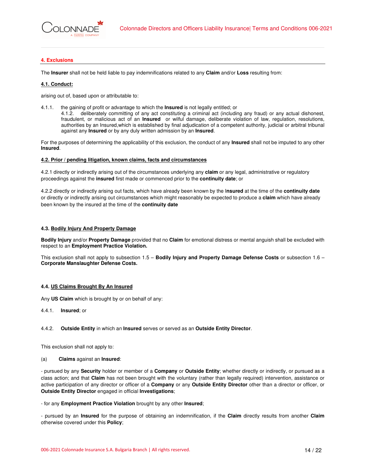

# **4. Exclusions**

The **Insurer** shall not be held liable to pay indemnifications related to any **Claim** and/or **Loss** resulting from:

# **4.1. Conduct:**

arising out of, based upon or attributable to:

- 4.1.1. the gaining of profit or advantage to which the **Insured** is not legally entitled; or
	- 4.1.2. deliberately committing of any act constituting a criminal act (including any fraud) or any actual dishonest, fraudulent, or malicious act of an **Insured** or wilful damage, deliberate violation of law, regulation, resolutions, authorities by an Insured,which is established by final adjudication of a competent authority, judicial or arbitral tribunal against any **Insured** or by any duly written admission by an **Insured**.

For the purposes of determining the applicability of this exclusion, the conduct of any **Insured** shall not be imputed to any other **Insured**.

#### **4.2. Prior / pending litigation, known claims, facts and circumstances**

4.2.1 directly or indirectly arising out of the circumstances underlying any **claim** or any legal, administrative or regulatory proceedings against the **insured** first made or commenced prior to the **continuity date**; or

4.2.2 directly or indirectly arising out facts, which have already been known by the I**nsured** at the time of the **continuity date** or directly or indirectly arising out circumstances which might reasonably be expected to produce a **claim** which have already been known by the insured at the time of the **continuity date**

# **4.3. Bodily Injury And Property Damage**

**Bodily Injury** and/or **Property Damage** provided that no **Claim** for emotional distress or mental anguish shall be excluded with respect to an **Employment Practice Violation.** 

This exclusion shall not apply to subsection 1.5 – **Bodily Injury and Property Damage Defense Costs** or subsection 1.6 – **Corporate Manslaughter Defense Costs.** 

# **4.4. US Claims Brought By An Insured**

Any **US Claim** which is brought by or on behalf of any:

4.4.1. **Insured**; or

# 4.4.2. **Outside Entity** in which an **Insured** serves or served as an **Outside Entity Director**.

This exclusion shall not apply to:

# (a) **Claims** against an **Insured**:

- pursued by any **Security** holder or member of a **Company** or **Outside Entity**; whether directly or indirectly, or pursued as a class action; and that **Claim** has not been brought with the voluntary (rather than legally required) intervention, assistance or active participation of any director or officer of a **Company** or any **Outside Entity Director** other than a director or officer, or **Outside Entity Director** engaged in official **Investigations**;

# - for any **Employment Practice Violation** brought by any other **Insured**;

- pursued by an **Insured** for the purpose of obtaining an indemnification, if the **Claim** directly results from another **Claim** otherwise covered under this **Policy**;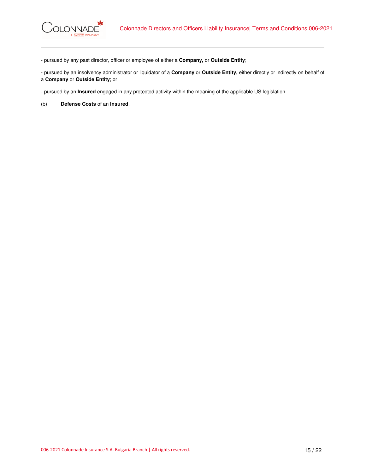- pursued by any past director, officer or employee of either a **Company,** or **Outside Entity**;

- pursued by an insolvency administrator or liquidator of a **Company** or **Outside Entity,** either directly or indirectly on behalf of a **Company** or **Outside Entity**; or

- pursued by an **Insured** engaged in any protected activity within the meaning of the applicable US legislation.

(b) **Defense Costs** of an **Insured**.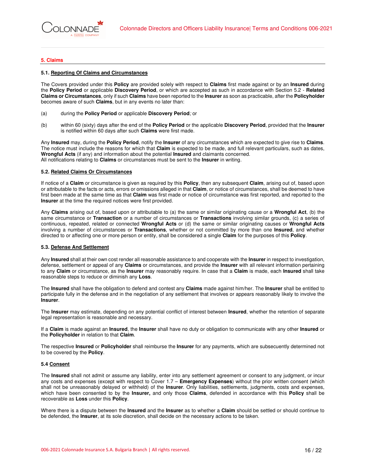# **5. Claims**

#### **5.1. Reporting Of Claims and Circumstances**

The Covers provided under this **Policy** are provided solely with respect to **Claims** first made against or by an **Insured** during the **Policy Period** or applicable **Discovery Period**, or which are accepted as such in accordance with Section 5.2 - **Related Claims or Circumstances**, only if such **Claims** have been reported to the **Insurer** as soon as practicable, after the **Policyholder** becomes aware of such **Claims**, but in any events no later than:

- (a) during the **Policy Period** or applicable **Discovery Period**; or
- (b) within 60 (sixty) days after the end of the **Policy Period** or the applicable **Discovery Period**, provided that the **Insurer** is notified within 60 days after such **Claims** were first made.

Any **Insured** may, during the **Policy Period**, notify the **Insurer** of any circumstances which are expected to give rise to **Claims**. The notice must include the reasons for which that **Claim** is expected to be made, and full relevant particulars, such as dates, **Wrongful Acts** (if any) and information about the potential **Insured** and claimants concerned. All notifications relating to **Claims** or circumstances must be sent to the **Insurer** in writing.

#### **5.2. Related Claims Or Circumstances**

If notice of a **Claim** or circumstance is given as required by this **Policy**, then any subsequent **Claim**, arising out of, based upon or attributable to the facts or acts, errors or omissions alleged in that **Claim**, or notice of circumstances, shall be deemed to have first been made at the same time as that **Claim** was first made or notice of circumstance was first reported, and reported to the **Insurer** at the time the required notices were first provided.

Any **Claims** arising out of, based upon or attributable to (a) the same or similar originating cause or a **Wrongful Act**, (b) the same circumstance or **Transaction** or a number of circumstances or **Transactions** involving similar grounds, (c) a series of continuous, repeated, related or connected **Wrongful Acts** or (d) the same or similar originating causes or **Wrongful Acts**  involving a number of circumstances or **Transactions**, whether or not committed by more than one **Insured**, and whether directed to or affecting one or more person or entity, shall be considered a single **Claim** for the purposes of this **Policy**.

# **5.3. Defense And Settlement**

Any **Insured** shall at their own cost render all reasonable assistance to and cooperate with the **Insurer** in respect to investigation, defense, settlement or appeal of any **Claims** or circumstances, and provide the **Insurer** with all relevant information pertaining to any **Claim** or circumstance, as the **Insurer** may reasonably require. In case that a **Claim** is made, each **Insured** shall take reasonable steps to reduce or diminish any **Loss**.

The **Insured** shall have the obligation to defend and contest any **Claims** made against him/her. The **Insurer** shall be entitled to participate fully in the defense and in the negotiation of any settlement that involves or appears reasonably likely to involve the **Insurer**.

The **Insurer** may estimate, depending on any potential conflict of interest between **Insured**, whether the retention of separate legal representation is reasonable and necessary.

If a **Claim** is made against an **Insured**, the **Insurer** shall have no duty or obligation to communicate with any other **Insured** or the **Policyholder** in relation to that **Claim**.

The respective **Insured** or **Policyholder** shall reimburse the **Insurer** for any payments, which are subsecuently determined not to be covered by the **Policy**.

# **5.4 Consent**

The **Insured** shall not admit or assume any liability, enter into any settlement agreement or consent to any judgment, or incur any costs and expenses (except with respect to Cover 1.7 – **Emergency Expenses**) without the prior written consent (which shall not be unreasonably delayed or withheld) of the **Insurer**. Only liabilities, settlements, judgments, costs and expenses, which have been consented to by the **Insurer,** and only those **Claims**, defended in accordance with this **Policy** shall be recoverable as **Loss** under this **Policy**.

Where there is a dispute between the **Insured** and the **Insurer** as to whether a **Claim** should be settled or should continue to be defended, the **Insurer**, at its sole discretion, shall decide on the necessary actions to be taken.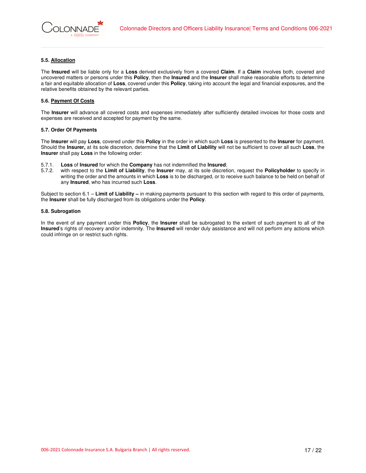# **5.5. Allocation**

The **Insured** will be liable only for a **Loss** derived exclusively from a covered **Claim**. If a **Claim** involves both, covered and uncovered matters or persons under this **Policy**, then the **Insured** and the **Insurer** shall make reasonable efforts to determine a fair and equitable allocation of **Loss**, covered under this **Policy**, taking into account the legal and financial exposures, and the relative benefits obtained by the relevant parties.

# **5.6. Payment Of Costs**

The **Insurer** will advance all covered costs and expenses immediately after sufficiently detailed invoices for those costs and expenses are received and accepted for payment by the same.

# **5.7. Order Of Payments**

The **Insurer** will pay **Loss**, covered under this **Policy** in the order in which such **Loss** is presented to the **Insurer** for payment. Should the **Insurer,** at its sole discretion, determine that the **Limit of Liability** will not be sufficient to cover all such **Loss**, the **Insurer** shall pay **Loss** in the following order:

- 
- 5.7.1. **Loss** of **Insured** for which the **Company** has not indemnified the **Insured**; 5.7.2. with respect to the **Limit of Liability**, the **Insurer** may, at its sole discretion, request the **Policyholder** to specify in writing the order and the amounts in which **Loss** is to be discharged, or to receive such balance to be held on behalf of any **Insured**, who has incurred such **Loss**.

Subject to section 6.1 – **Limit of Liability –** in making payments pursuant to this section with regard to this order of payments, the **Insurer** shall be fully discharged from its obligations under the **Policy**.

# **5.8. Subrogation**

In the event of any payment under this **Policy**, the **Insurer** shall be subrogated to the extent of such payment to all of the **Insured**'s rights of recovery and/or indemnity. The **Insured** will render duly assistance and will not perform any actions which could infringe on or restrict such rights.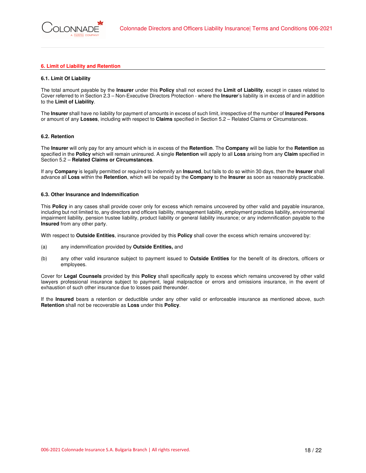# **6. Limit of Liability and Retention**

# **6.1. Limit Of Liability**

The total amount payable by the **Insurer** under this **Policy** shall not exceed the **Limit of Liability**, except in cases related to Cover referred to in Section 2.3 – Non-Executive Directors Protection - where the **Insurer**'s liability is in excess of and in addition to the **Limit of Liability**.

The **Insurer** shall have no liability for payment of amounts in excess of such limit, irrespective of the number of **Insured Persons** or amount of any **Losses**, including with respect to **Claims** specified in Section 5.2 – Related Claims or Circumstances.

#### **6.2. Retention**

The **Insurer** will only pay for any amount which is in excess of the **Retention**. The **Company** will be liable for the **Retention** as specified in the **Policy** which will remain uninsured. A single **Retention** will apply to all **Loss** arising from any **Claim** specified in Section 5.2 – **Related Claims or Circumstances**.

If any **Company** is legally permitted or required to indemnify an **Insured**, but fails to do so within 30 days, then the **Insurer** shall advance all **Loss** within the **Retention**, which will be repaid by the **Company** to the **Insurer** as soon as reasonably practicable.

#### **6.3. Other Insurance and Indemnification**

This **Policy** in any cases shall provide cover only for excess which remains uncovered by other valid and payable insurance, including but not limited to, any directors and officers liability, management liability, employment practices liability, environmental impairment liability, pension trustee liability, product liability or general liability insurance; or any indemnification payable to the **Insured** from any other party.

With respect to **Outside Entities**, insurance provided by this **Policy** shall cover the excess which remains uncovered by:

- (a) any indemnification provided by **Outside Entities,** and
- (b) any other valid insurance subject to payment issued to **Outside Entities** for the benefit of its directors, officers or employees.

Cover for **Legal Counsels** provided by this **Policy** shall specifically apply to excess which remains uncovered by other valid lawyers professional insurance subject to payment, legal malpractice or errors and omissions insurance, in the event of exhaustion of such other insurance due to losses paid thereunder.

If the **Insured** bears a retention or deductible under any other valid or enforceable insurance as mentioned above, such **Retention** shall not be recoverable as **Loss** under this **Policy**.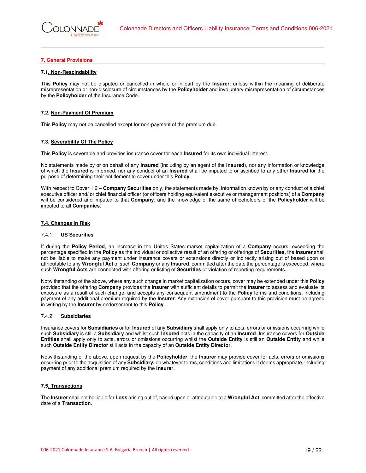# **7. General Provisions**

# **7.1. Non-Rescindability**

This **Policy** may not be disputed or cancelled in whole or in part by the **Insurer**, unless within the meaning of deliberate misrepresentation or non-disclosure of circumstances by the **Policyholder** and involuntary misrepresentation of circumstances by the **Policyholder** of the Insurance Code.

# **7.2. Non-Payment Of Premium**

This **Policy** may not be cancelled except for non-payment of the premium due.

# **7.3. Severability Of The Policy**

This **Policy** is severable and provides insurance cover for each **Insured** for its own individual interest.

No statements made by or on behalf of any **Insured** (including by an agent of the **Insured**), nor any information or knowledge of which the **Insured** is informed, nor any conduct of an **Insured** shall be imputed to or ascribed to any other **Insured** for the purpose of determining their entitlement to cover under this **Policy**.

With respect to Cover 1.2 – **Company Securities** only, the statements made by, information known by or any conduct of a chief executive officer and/ or chief financial officer (or officers holding equivalent executive or management positions) of a **Company** will be considered and imputed to that **Company**, and the knowledge of the same officeholders of the **Policyholder** will be imputed to all **Companies**.

# **7.4. Changes In Risk**

#### 7.4.1. **US Securities**

If during the **Policy Period**, an increase in the Unites States market capitalization of a **Company** occurs, exceeding the percentage specified in the **Policy** as the individual or collective result of an offering or offerings of **Securities**, the **Insurer** shall not be liable to make any payment under insurance covers or extensions directly or indirectly arising out of based upon or attributable to any **Wrongful Act** of such **Company** or any **Insured**, committed after the date the percentage is exceeded, where such **Wrongful Acts** are connected with offering or listing of **Securities** or violation of reporting requirements.

Notwithstanding of the above, where any such change in market capitalization occurs, cover may be extended under this **Policy** provided that the offering **Company** provides the **Insurer** with sufficient details to permit the **Insurer** to assess and evaluate its exposure as a result of such change, and accepts any consequent amendment to the **Policy** terms and conditions, including payment of any additional premium required by the **Insurer**. Any extension of cover pursuant to this provision must be agreed in writing by the **Insurer** by endorsement to this **Policy**.

#### 7.4.2. **Subsidiaries**

Insurance covers for **Subsidiaries** or for **Insured** of any **Subsidiary** shall apply only to acts, errors or omissions occurring while such **Subsidiary** is still a **Subsidiary** and whilst such **Insured** acts in the capacity of an **Insured**. Insurance covers for **Outside Entities** shall apply only to acts, errors or omissions occurring whilst the **Outside Entity** is still an **Outside Entity** and while such **Outside Entity Director** still acts in the capacity of an **Outside Entity Director**.

Notwithstanding of the above, upon request by the **Policyholder**, the **Insurer** may provide cover for acts, errors or omissions occurring prior to the acquisition of any **Subsidiary,** on whatever terms, conditions and limitations it deems appropriate, including payment of any additional premium required by the **Insurer**.

# **7.5. Transactions**

The **Insurer** shall not be liable for **Loss** arising out of, based upon or attributable to a **Wrongful Act**, committed after the effective date of a **Transaction**.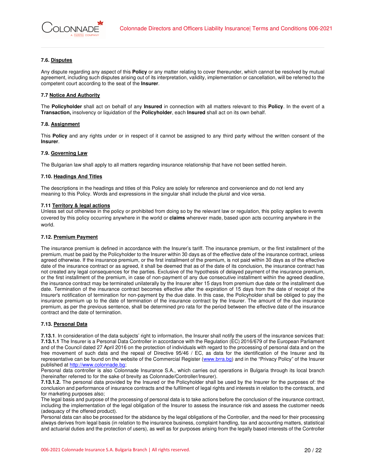# **7.6. Disputes**

Any dispute regarding any aspect of this **Policy** or any matter relating to cover thereunder, which cannot be resolved by mutual agreement, including such disputes arising out of its interpretation, validity, implementation or cancellation, will be referred to the competent court according to the seat of the **Insurer**.

# **7.7 Notice And Authority**

The **Policyholder** shall act on behalf of any **Insured** in connection with all matters relevant to this **Policy**. In the event of a **Transaction,** insolvency or liquidation of the **Policyholder**, each **Insured** shall act on its own behalf.

# **7.8. Assignment**

This **Policy** and any rights under or in respect of it cannot be assigned to any third party without the written consent of the **Insurer**.

# **7.9. Governing Law**

The Bulgarian law shall apply to all matters regarding insurance relationship that have not been settled herein.

# **7.10. Headings And Titles**

 The descriptions in the headings and titles of this Policy are solely for reference and convenience and do not lend any meaning to this Policy. Words and expressions in the singular shall include the plural and vice versa.

# **7.11 Territory & legal actions**

Unless set out otherwise in the policy or prohibited from doing so by the relevant law or regulation, this policy applies to events covered by this policy occurring anywhere in the world or **claims** wherever made, based upon acts occurring anywhere in the world.

# **7.12. Premium Payment**

The insurance premium is defined in accordance with the Insurer's tariff. The insurance premium, or the first installment of the premium, must be paid by the Policyholder to the Insurer within 30 days as of the effective date of the insurance contract, unless agreed otherwise. If the insurance premium, or the first installment of the premium, is not paid within 30 days as of the effective date of the insurance contract or as agreed, it shall be deemed that as of the date of its conclusion, the insurance contract has not created any legal consequences for the parties. Exclusive of the hypothesis of delayed payment of the insurance premium, or the first installment of the premium, in case of non-payment of any due consecutive installment within the agreed deadline, the insurance contract may be terminated unilaterally by the Insurer after 15 days from premium due date or the installment due date. Termination of the insurance contract becomes effective after the expiration of 15 days from the date of receipt of the Insurer's notification of termination for non-payment by the due date. In this case, the Policyholder shall be obliged to pay the insurance premium up to the date of termination of the insurance contract by the Insurer. The amount of the due insurance premium, as per the previous sentence, shall be determined pro rata for the period between the effective date of the insurance contract and the date of termination.

# **7.13. Personal Data**

**7.13.1**. In consideration of the data subjects' right to information, the Insurer shall notify the users of the insurance services that: **7.13.1.1** The Insurer is a Personal Data Controller in accordance with the Regulation (EC) 2016/679 of the European Parliament and of the Council dated 27 April 2016 on the protection of individuals with regard to the processing of personal data and on the free movement of such data and the repeal of Directive 95/46 / EC, as data for the identification of the Insurer and its representative can be found on the website of the Commercial Register (www.brra.bg) and in the "Privacy Policy" of the Insurer published at http://www.colonnade.bg;

Personal data controller is also Colonnade Insurance S.A., which carries out operations in Bulgaria through its local branch (hereinafter referred to for the sake of brevity as Colonnade/Controller/Insurer).

**7.13.1.2.** The personal data provided by the Insured or the Policyholder shall be used by the Insurer for the purposes of: the conclusion and performance of insurance contracts and the fulfilment of legal rights and interests in relation to the contracts, and for marketing purposes also;

The legal basis and purpose of the processing of personal data is to take actions before the conclusion of the insurance contract, including the implementation of the legal obligation of the Insurer to assess the insurance risk and assess the customer needs (adequacy of the offered product).

Personal data can also be processed for the abidance by the legal obligations of the Controller, and the need for their processing always derives from legal basis (in relation to the insurance business, complaint handling, tax and accounting matters, statistical and actuarial duties and the protection of users), as well as for purposes arising from the legally based interests of the Controller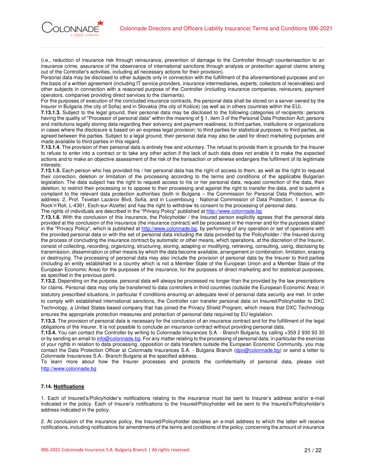

(i.e., reduction of insurance risk through reinsurance, prevention of damage to the Controller through counterreaction to an insurance crime, assurance of the observance of international sanctions through analysis or protection against claims arising out of the Controller's activities, including all necessary actions for their provision).

Personal data may be disclosed to other subjects only in connection with the fulfillment of the aforementioned purposes and on the basis of a written agreement (including IT service providers, insurance intermediaries, experts, collectors of receivables) and other subjects in connection with a reasoned purpose of the Controller (including insurance companies, reinsurers, payment operators, companies providing direct services to the claimants).

For the purposes of execution of the concluded insurance contracts, the personal data shall be stored on a server owned by the Insurer in Bulgaria (the city of Sofia) and in Slovakia (the city of Košice) (as well as in others countries within the EU).

**7.13.1.3.** Subject to the legal ground, their personal data may be disclosed to the following categories of recipients: persons having the quality of "Processor of personal data" within the meaning of § 1, item 3 of the Personal Data Protection Act; persons and institutions legally storing data regarding their solvency and payment readiness; to third parties, institutions or organizations in cases where the disclosure is based on an express legal provision; to third parties for statistical purposes; to third parties, as agreed between the parties. Subject to a legal ground, their personal data may also be used for direct marketing purposes and made available to third parties in this regard.

**7.13.1.4.** The provision of their personal data is entirely free and voluntary. The refusal to provide them is grounds for the Insurer to refuse to enter into a contract or to take any other action if the lack of such data does not enable it to make the expected actions and to make an objective assessment of the risk of the transaction or otherwise endangers the fulfilment of its legitimate interests;

**7.13.1.5.** Each person who has provided his / her personal data has the right of access to them, as well as the right to request their correction, deletion or limitation of the processing according to the terms and conditions of the applicable Bulgarian legislation. The data subject has the right to request access to his or her personal data, request correction of the data, their deletion, to restrict their processing or to oppose to their processing and against the right to transfer the data, and to submit a complaint to the relevant data protection authorities (both in Bulgaria – the Commission for Personal Data Protection, with address: 2, Prof. Tsvetan Lazarov Blvd, Sofia, and in Luxembourg - National Commission of Data Protection, 1 avenue du Rock'n'Roll, L-4361, Esch-sur-Alzette) and has the right to withdraw its consent to the processing of personal data. The rights of individuals are described in the "Privacy Policy" published at http://www.colonnade.bg

**7.13.1.6.** With the conclusion of this insurance, the Policyholder / the Insured person explicitly agrees that the personal data provided at the conclusion of the insurance (the insurance contract) will be processed in the manner and for the purposes stated in the "Privacy Policy", which is published at http://www.colonnade.bg, by performing of any operation or set of operations with the provided personal data or with the set of personal data including the data provided by the Policyholder / the Insured during the process of concluding the insurance contract by automatic or other means, which operations, at the discretion of the Insurer, consist of collecting, recording, organizing, structuring, storing, adapting or modifying, retrieving, consulting, using, disclosing by transmission, dissemination or other means by which the data become available, arrangement or combination, limitation, erasing or destroying. The processing of personal data may also include the provision of personal data by the Insurer to third parties (including an entity established in a country which is not a Member State of the European Union and a Member State of the European Economic Area) for the purposes of the insurance, for the purposes of direct marketing and for statistical purposes, as specified in the previous point.

**7.13.2.** Depending on the purpose, personal data will always be processed no longer than the provided by the law prescriptions for claims. Personal data may only be transferred to data controllers in third countries (outside the European Economic Area) in statutory prescribed situations, in particular if conditions ensuring an adequate level of personal data security are met. In order to comply with established international sanctions, the Controller can transfer personal data on Insured/Policyholder to DXC Technology, a United States-based company that has joined the Privacy Shield Program, which means that DXC Technology ensures the appropriate protection measures and protection of personal data required by EU legislation.

**7.13.3.** The provision of personal data is necessary for the conclusion of an insurance contract and for the fulfillment of the legal obligations of the Insurer. It is not possible to conclude an insurance contract without providing personal data.

**7.13.4.** You can contact the Controller by writing to Colonnade Insurances S.A. - Branch Bulgaria, by calling +359 2 930 93 30 or by sending an email to info@colonnade.bg. For any matter relating to the processing of personal data, in particular the exercise of your rights in relation to data processing, opposition or data transfers outside the European Economic Community, you may contact the Data Protection Officer at Colonnade Insurances S.A. - Bulgaria Branch (dpo@colonnade.bg) or send a letter to Colonnade Insurances S.A.- Branch Bulgaria at the specified address.

To learn more about how the Insurer processes and protects the confidentiality of personal data, please visit http://www.colonnade.bg

# **7.14. Notifications**

1. Each of Insured's/Policyholder's notifications relating to the insurance must be sent to Insurer's address and/or e-mail indicated in the policy. Each of Insurer's notifications to the Insured/Policyholder will be sent to the Insured's/Policyholder's address indicated in the policy.

2. At conclusion of the insurance policy, the Insured/Policyholder declares an e-mail address to which the latter will receive notifications, including notifications for amendments of the terms and conditions of the policy, concerning the amount of insurance